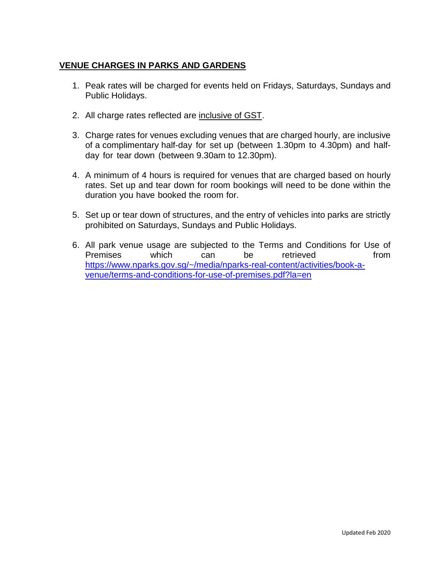## **VENUE CHARGES IN PARKS AND GARDENS**

- 1. Peak rates will be charged for events held on Fridays, Saturdays, Sundays and Public Holidays.
- 2. All charge rates reflected are inclusive of GST.
- 3. Charge rates for venues excluding venues that are charged hourly, are inclusive of a complimentary half-day for set up (between 1.30pm to 4.30pm) and halfday for tear down (between 9.30am to 12.30pm).
- 4. A minimum of 4 hours is required for venues that are charged based on hourly rates. Set up and tear down for room bookings will need to be done within the duration you have booked the room for.
- 5. Set up or tear down of structures, and the entry of vehicles into parks are strictly prohibited on Saturdays, Sundays and Public Holidays.
- 6. All park venue usage are subjected to the Terms and Conditions for Use of Premises which can be retrieved from [https://www.nparks.gov.sg/~/media/nparks-real-content/activities/book-a](https://www.nparks.gov.sg/~/media/nparks-real-content/activities/book-a-venue/terms-and-conditions-for-use-of-premises.pdf?la=en)[venue/terms-and-conditions-for-use-of-premises.pdf?la=en](https://www.nparks.gov.sg/~/media/nparks-real-content/activities/book-a-venue/terms-and-conditions-for-use-of-premises.pdf?la=en)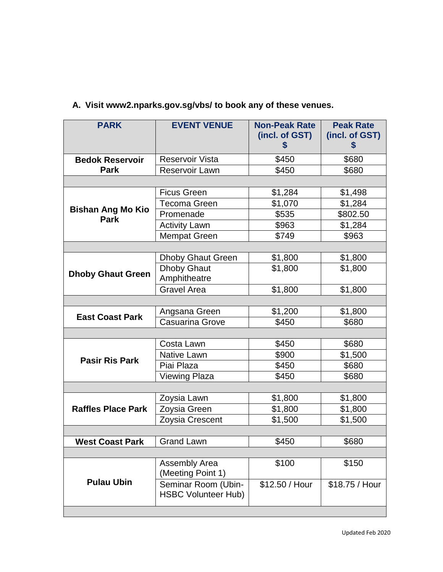| <b>PARK</b>                             | <b>EVENT VENUE</b>                                | <b>Non-Peak Rate</b><br>(incl. of GST)<br>\$ | <b>Peak Rate</b><br>(incl. of GST)<br>\$ |
|-----------------------------------------|---------------------------------------------------|----------------------------------------------|------------------------------------------|
| <b>Bedok Reservoir</b>                  | Reservoir Vista                                   | \$450                                        | \$680                                    |
| <b>Park</b>                             | <b>Reservoir Lawn</b>                             | \$450                                        | \$680                                    |
|                                         |                                                   |                                              |                                          |
|                                         | <b>Ficus Green</b>                                | \$1,284                                      | \$1,498                                  |
|                                         | <b>Tecoma Green</b>                               | \$1,070                                      | \$1,284                                  |
| <b>Bishan Ang Mo Kio</b><br><b>Park</b> | Promenade                                         | \$535                                        | \$802.50                                 |
|                                         | <b>Activity Lawn</b>                              | \$963                                        | \$1,284                                  |
|                                         | <b>Mempat Green</b>                               | \$749                                        | \$963                                    |
|                                         |                                                   |                                              |                                          |
|                                         | <b>Dhoby Ghaut Green</b>                          | \$1,800                                      | \$1,800                                  |
| <b>Dhoby Ghaut Green</b>                | <b>Dhoby Ghaut</b><br>Amphitheatre                | \$1,800                                      | \$1,800                                  |
|                                         | <b>Gravel Area</b>                                | \$1,800                                      | \$1,800                                  |
|                                         |                                                   |                                              |                                          |
|                                         | Angsana Green                                     | \$1,200                                      | \$1,800                                  |
| <b>East Coast Park</b>                  | <b>Casuarina Grove</b>                            | \$450                                        | \$680                                    |
|                                         |                                                   |                                              |                                          |
|                                         | Costa Lawn                                        | \$450                                        | \$680                                    |
| <b>Pasir Ris Park</b>                   | Native Lawn                                       | \$900                                        | \$1,500                                  |
|                                         | Piai Plaza                                        | \$450                                        | \$680                                    |
|                                         | <b>Viewing Plaza</b>                              | \$450                                        | \$680                                    |
|                                         |                                                   |                                              |                                          |
| <b>Raffles Place Park</b>               | Zoysia Lawn                                       | \$1,800                                      | \$1,800                                  |
|                                         | Zoysia Green                                      | \$1,800                                      | \$1,800                                  |
|                                         | Zoysia Crescent                                   | \$1,500                                      | \$1,500                                  |
|                                         |                                                   |                                              |                                          |
| <b>West Coast Park</b>                  | <b>Grand Lawn</b>                                 | \$450                                        | \$680                                    |
|                                         |                                                   |                                              |                                          |
| <b>Pulau Ubin</b>                       | Assembly Area<br>(Meeting Point 1)                | \$100                                        | \$150                                    |
|                                         | Seminar Room (Ubin-<br><b>HSBC Volunteer Hub)</b> | $$12.50 /$ Hour                              | \$18.75 / Hour                           |
|                                         |                                                   |                                              |                                          |

## **A. Visit www2.nparks.gov.sg/vbs/ to book any of these venues.**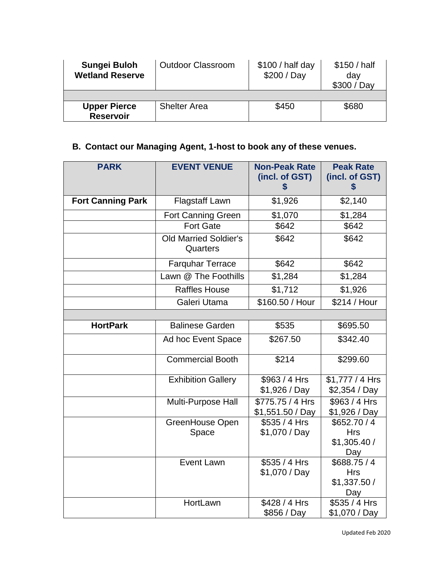| Sungei Buloh<br><b>Wetland Reserve</b>  | <b>Outdoor Classroom</b> | \$100 / half day<br>\$200 / Day | \$150 / half<br>day<br>\$300 / Day |
|-----------------------------------------|--------------------------|---------------------------------|------------------------------------|
|                                         |                          |                                 |                                    |
| <b>Upper Pierce</b><br><b>Reservoir</b> | <b>Shelter Area</b>      | \$450                           | \$680                              |

## **B. Contact our Managing Agent, 1-host to book any of these venues.**

| <b>PARK</b>              | <b>EVENT VENUE</b>                       | <b>Non-Peak Rate</b><br>(incl. of GST)<br>\$ | <b>Peak Rate</b><br>(incl. of GST)<br>\$        |
|--------------------------|------------------------------------------|----------------------------------------------|-------------------------------------------------|
| <b>Fort Canning Park</b> | Flagstaff Lawn                           | \$1,926                                      | \$2,140                                         |
|                          | <b>Fort Canning Green</b>                | \$1,070                                      | \$1,284                                         |
|                          | <b>Fort Gate</b>                         | \$642                                        | \$642                                           |
|                          | <b>Old Married Soldier's</b><br>Quarters | \$642                                        | \$642                                           |
|                          | <b>Farquhar Terrace</b>                  | \$642                                        | \$642                                           |
|                          | Lawn @ The Foothills                     | \$1,284                                      | \$1,284                                         |
|                          | <b>Raffles House</b>                     | \$1,712                                      | \$1,926                                         |
|                          | Galeri Utama                             | \$160.50 / Hour                              | \$214 / Hour                                    |
|                          |                                          |                                              |                                                 |
| <b>HortPark</b>          | <b>Balinese Garden</b>                   | \$535                                        | \$695.50                                        |
|                          | Ad hoc Event Space                       | \$267.50                                     | \$342.40                                        |
|                          | <b>Commercial Booth</b>                  | \$214                                        | \$299.60                                        |
|                          | <b>Exhibition Gallery</b>                | \$963 / 4 Hrs<br>\$1,926 / Day               | \$1,777 / 4 Hrs<br>\$2,354 / Day                |
|                          | Multi-Purpose Hall                       | \$775.75 / 4 Hrs<br>\$1,551.50 / Day         | \$963 / 4 Hrs<br>\$1,926 / Day                  |
|                          | GreenHouse Open<br>Space                 | \$535 / 4 Hrs<br>\$1,070 / Day               | \$652.70/4<br><b>Hrs</b><br>\$1,305.40/<br>Day  |
|                          | <b>Event Lawn</b>                        | \$535 / 4 Hrs<br>\$1,070 / Day               | \$688.75/4<br><b>Hrs</b><br>\$1,337.50 /<br>Day |
|                          | HortLawn                                 | \$428 / 4 Hrs<br>\$856 / Day                 | \$535 / 4 Hrs<br>\$1,070 / Day                  |